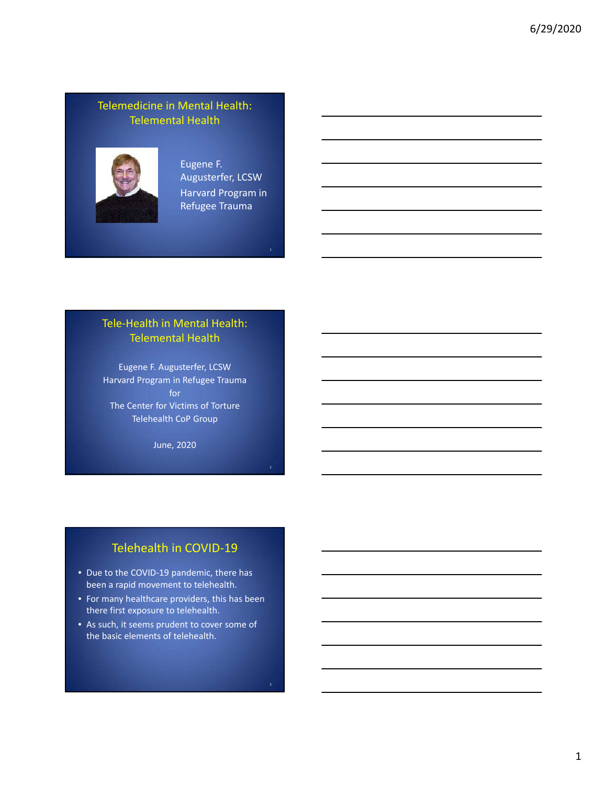#### Telemedicine in Mental Health: Telemental Health



Eugene F. Augusterfer, LCSW Harvard Program in Refugee Trauma

# Tele‐Health in Mental Health: Telemental Health

Eugene F. Augusterfer, LCSW Harvard Program in Refugee Trauma for The Center for Victims of Torture Telehealth CoP Group

June, 2020

### Telehealth in COVID‐19

- Due to the COVID-19 pandemic, there has been a rapid movement to telehealth.
- For many healthcare providers, this has been there first exposure to telehealth.
- As such, it seems prudent to cover some of the basic elements of telehealth.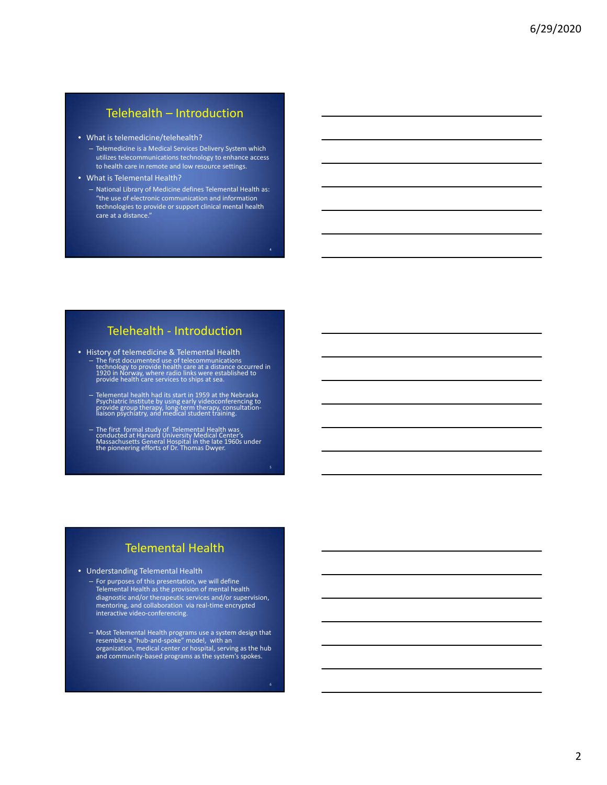#### Telehealth – Introduction

#### • What is telemedicine/telehealth?

- Telemedicine is a Medical Services Delivery System which utilizes telecommunications technology to enhance access to health care in remote and low resource settings.
- What is Telemental Health?
	- National Library of Medicine defines Telemental Health as: "the use of electronic communication and information technologies to provide or support clinical mental health care at a distance."

#### Telehealth ‐ Introduction

- History of telemedicine & Telemental Health – The first documented use of telecommunications technology to provide health care at a distance occurred in <sup>1920</sup> in Norway, where radio links were established to provide health care services to ships at sea.
	- Telemental health had its start in 1959 at the Nebraska Psychiatric Institute by using early videoconferencing to provide group therapy, long‐term therapy, consultation‐ liaison psychiatry, and medical student training.
	- The first formal study of Telemental Health was conducted at Harvard University Medical Center's Massachusetts General Hospital in the late 1960s under the pioneering efforts of Dr. Thomas Dwyer.

- Understanding Telemental Health
	- For purposes of this presentation, we will define Telemental Health as the provision of mental health diagnostic and/or therapeutic services and/or supervision, mentoring, and collaboration via real‐time encrypted interactive video‐conferencing.
	- Most Telemental Health programs use a system design that resembles a "hub‐and‐spoke" model, with an organization, medical center or hospital, serving as the hub and community‐based programs as the system's spokes.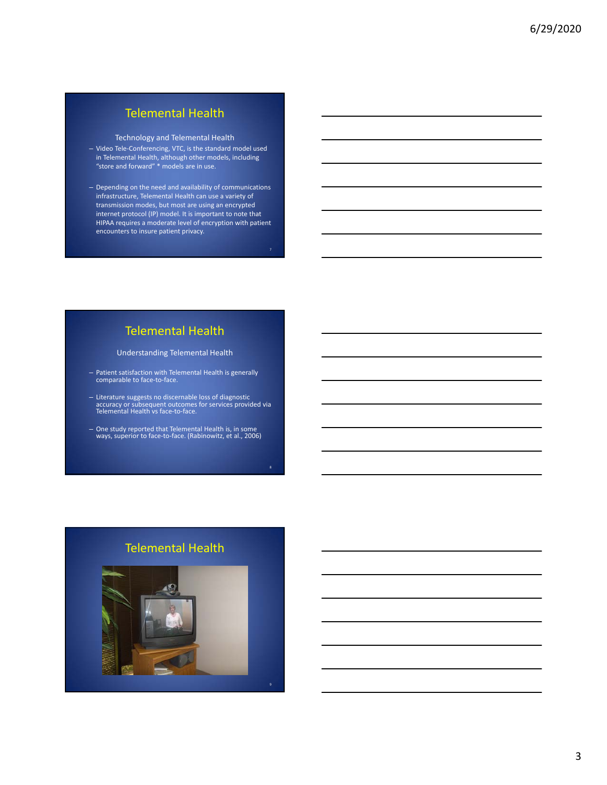Technology and Telemental Health

- Video Tele‐Conferencing, VTC, is the standard model used in Telemental Health, although other models, including "store and forward" \* models are in use.
- Depending on the need and availability of communications infrastructure, Telemental Health can use a variety of transmission modes, but most are using an encrypted internet protocol (IP) model. It is important to note that HIPAA requires a moderate level of encryption with patient encounters to insure patient privacy.

# Telemental Health

Understanding Telemental Health

- Patient satisfaction with Telemental Health is generally comparable to face‐to‐face.
- Literature suggests no discernable loss of diagnostic accuracy or subsequent outcomes for services provided via Telemental Health vs face‐to‐face.
- One study reported that Telemental Health is, in some ways, superior to face‐to‐face. (Rabinowitz, et al., 2006)

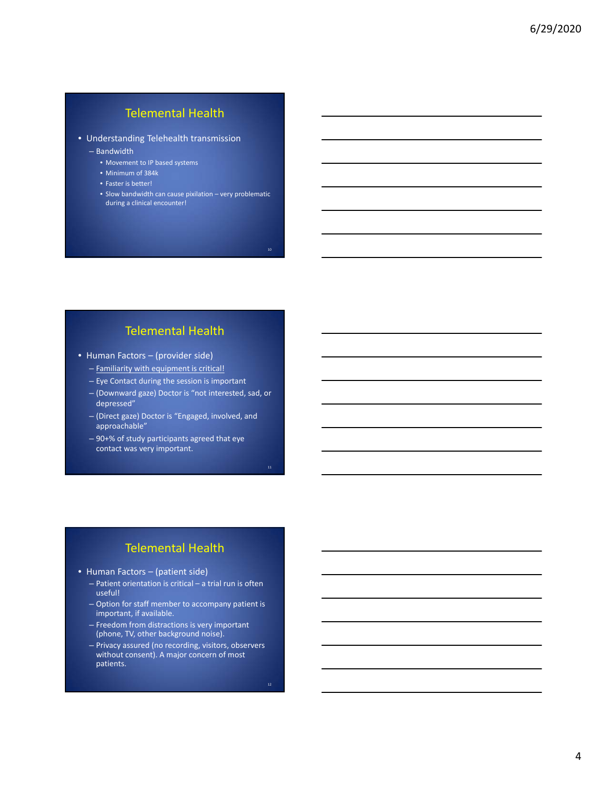• Understanding Telehealth transmission

– Bandwidth

- Movement to IP based systems
- Minimum of 384k
- Faster is better!
- Slow bandwidth can cause pixilation very problematic during a clinical encounter!

10

### Telemental Health

- Human Factors (provider side)
	- Familiarity with equipment is critical!
	- Eye Contact during the session is important
	- (Downward gaze) Doctor is "not interested, sad, or depressed"
	- (Direct gaze) Doctor is "Engaged, involved, and approachable"
	- 90+% of study participants agreed that eye contact was very important.

- Human Factors (patient side)
	- Patient orientation is critical a trial run is often useful!
	- Option for staff member to accompany patient is important, if available.
	- Freedom from distractions is very important (phone, TV, other background noise).
	- Privacy assured (no recording, visitors, observers without consent). A major concern of most patients.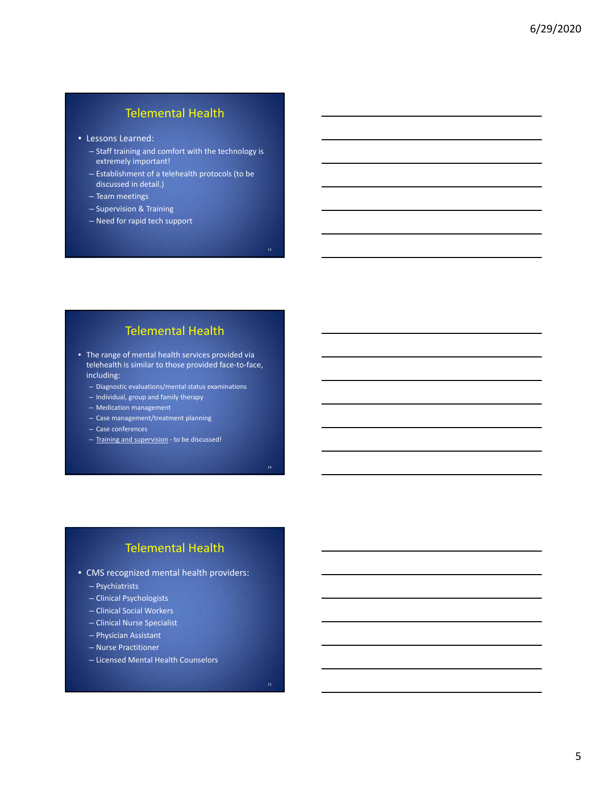- Lessons Learned:
	- Staff training and comfort with the technology is extremely important!
	- Establishment of a telehealth protocols (to be discussed in detail.)
	- Team meetings
	- Supervision & Training
	- Need for rapid tech support

#### Telemental Health

13

- The range of mental health services provided via telehealth is similar to those provided face-to-face, including:
	- Diagnostic evaluations/mental status examinations
	- Individual, group and family therapy
	- Medication management
	- Case management/treatment planning
	- Case conferences
	- Training and supervision ‐ to be discussed!

- CMS recognized mental health providers:
	- Psychiatrists
	- Clinical Psychologists
	- Clinical Social Workers
	- Clinical Nurse Specialist
	- Physician Assistant
	- Nurse Practitioner
	- Licensed Mental Health Counselors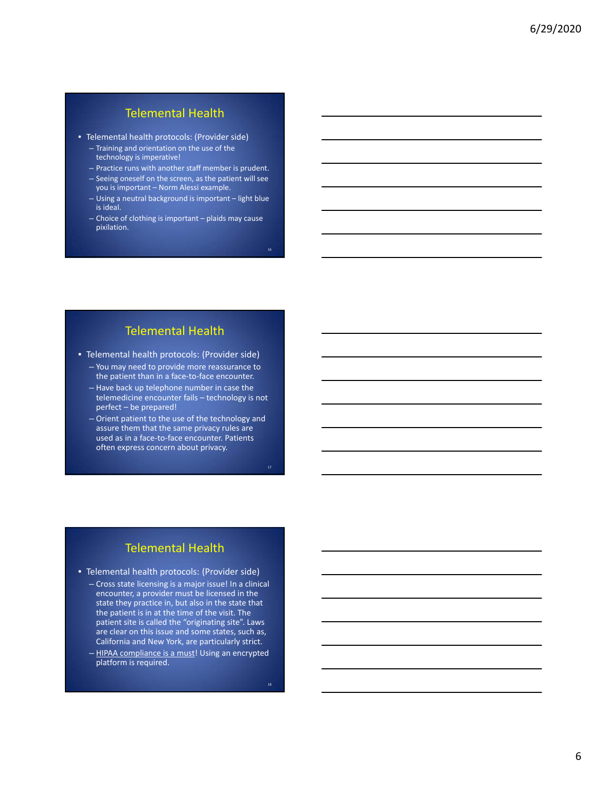- Telemental health protocols: (Provider side)
	- Training and orientation on the use of the technology is imperative!
	- Practice runs with another staff member is prudent.
	- Seeing oneself on the screen, as the patient will see you is important – Norm Alessi example.
	- Using a neutral background is important light blue is ideal.
	- $-$  Choice of clothing is important  $-$  plaids may cause pixilation.

#### Telemental Health

- Telemental health protocols: (Provider side)
	- You may need to provide more reassurance to the patient than in a face‐to‐face encounter. – Have back up telephone number in case the
	- telemedicine encounter fails technology is not perfect – be prepared!
	- Orient patient to the use of the technology and assure them that the same privacy rules are used as in a face‐to‐face encounter. Patients often express concern about privacy.

# Telemental Health

- Telemental health protocols: (Provider side)
	- Cross state licensing is a major issue! In a clinical encounter, a provider must be licensed in the state they practice in, but also in the state that the patient is in at the time of the visit. The patient site is called the "originating site". Laws are clear on this issue and some states, such as, California and New York, are particularly strict. - HIPAA compliance is a must! Using an encrypted
		- platform is required.

18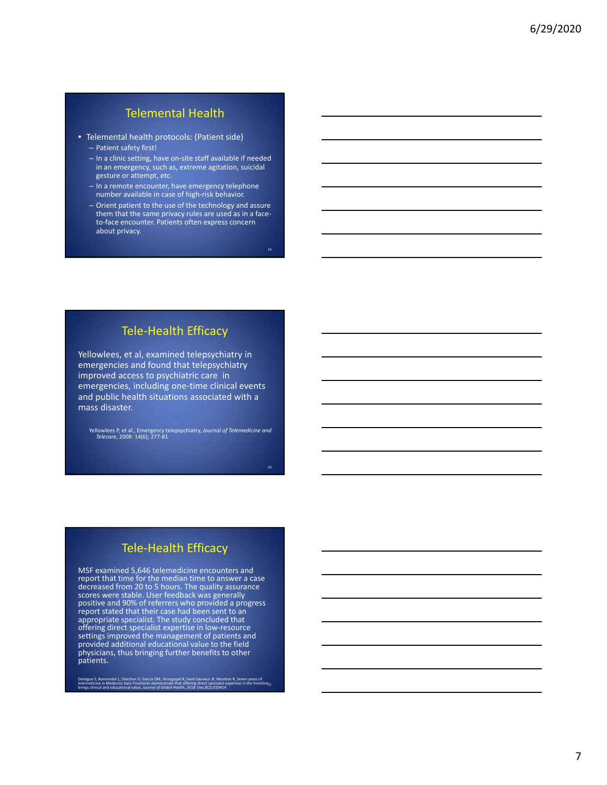- Telemental health protocols: (Patient side)
	- Patient safety first!
	- In a clinic setting, have on‐site staff available if needed in an emergency, such as, extreme agitation, suicidal gesture or attempt, etc.
	- In a remote encounter, have emergency telephone number available in case of high‐risk behavior.
	- Orient patient to the use of the technology and assure them that the same privacy rules are used as in a face‐ to‐face encounter. Patients often express concern about privacy.

19

20

## Tele‐Health Efficacy

Yellowlees, et al, examined telepsychiatry in emergencies and found that telepsychiatry improved access to psychiatric care in emergencies, including one‐time clinical events and public health situations associated with a mass disaster.

Yellowlees P, et al., Emergency telepsychiatry, *Journal of Telemedicine and Telecare*, 2008: 14(6); 277‐81

## Tele‐Health Efficacy

MSF examined 5,646 telemedicine encounters and report that time for the median time to answer a case<br>decreased from 20 to 5 hours. The quality assurance<br>scores were stable. User feedback was generally positive and 90% of referrers who provided a progress report stated that their case had been sent to an<br>appropriate specialist. The study concluded that offering direct specialist expertise in low-resource<br>settings improved the management of patients and provided additional educational value to the field physicians, thus bringing further benefits to other patients.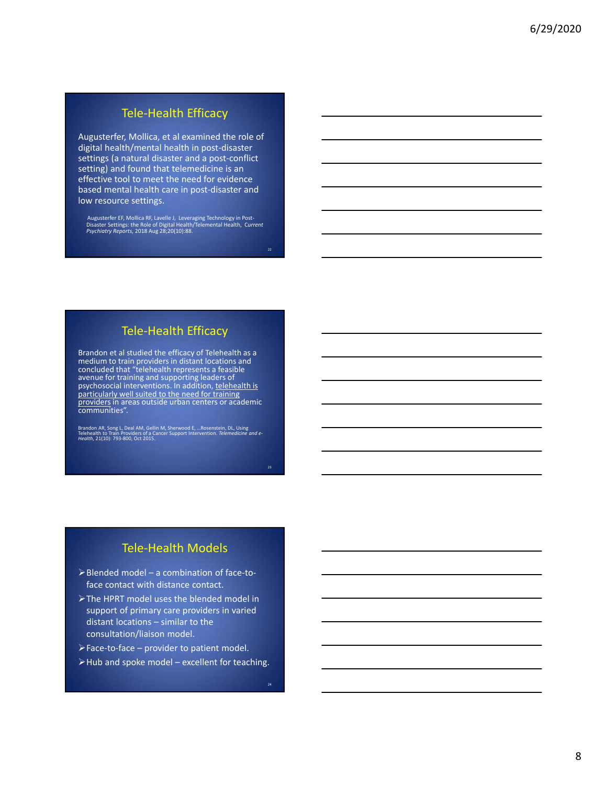# Tele‐Health Efficacy

Augusterfer, Mollica, et al examined the role of digital health/mental health in post‐disaster settings (a natural disaster and a post-conflict setting) and found that telemedicine is an effective tool to meet the need for evidence based mental health care in post‐disaster and low resource settings.

Augusterfer EF, Mollica RF, Lavelle J, Leveraging Technology in Post-<br>Disaster Settings: the Role of Digital Health/Telemental Health, *Current*<br>*Psychiatry Reports,* 2018 Aug 28;20(10):88.

## Tele‐Health Efficacy

Brandon et al studied the efficacy of Telehealth as <sup>a</sup> medium to train providers in distant locations and concluded that "telehealth represents a feasible<br>avenue for training and supporting leaders of psychosocial interventions. In addition, telehealth is particularly well suited to the need for training providers in areas outside urban centers or academic communities".

Brandon AR, Song L, Deal AM, Gellin M, Sherwood E, ...Rosenstein, DL, Using<br>Telehealth to Train Providers of a Cancer Support Intervention. Telemedicine and e-<br>Health, 21(10): 793-800, Oct 2015.

23

#### Tele‐Health Models

- Blended model a combination of face‐to‐ face contact with distance contact.
- The HPRT model uses the blended model in support of primary care providers in varied distant locations – similar to the consultation/liaison model.
- Face‐to‐face provider to patient model.
- $\triangleright$  Hub and spoke model excellent for teaching.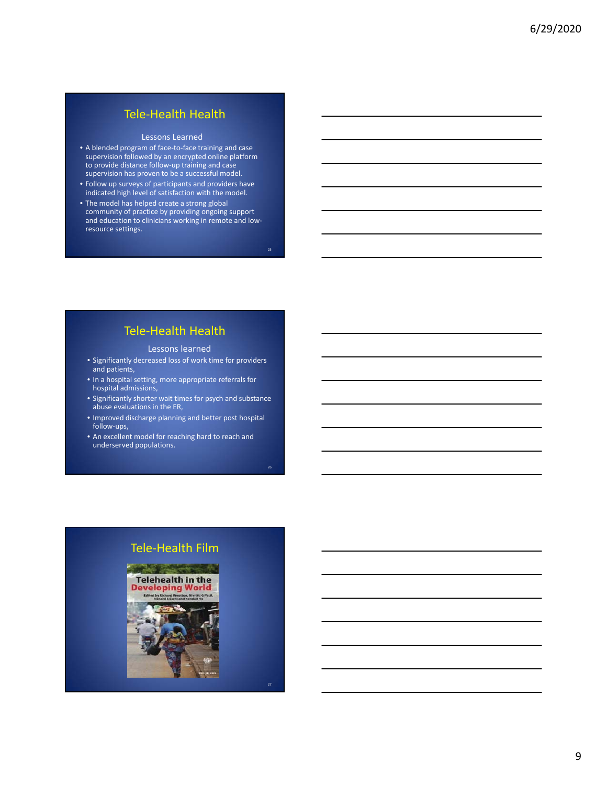#### Tele‐Health Health

#### Lessons Learned

- A blended program of face‐to‐face training and case supervision followed by an encrypted online platform to provide distance follow‐up training and case supervision has proven to be a successful model.
- Follow up surveys of participants and providers have indicated high level of satisfaction with the model.
- The model has helped create a strong global community of practice by providing ongoing support and education to clinicians working in remote and low‐ resource settings.

 $25$ 

26

27

## Tele‐Health Health

#### Lessons learned

- Significantly decreased loss of work time for providers and patients,
- In a hospital setting, more appropriate referrals for hospital admissions,
- Significantly shorter wait times for psych and substance abuse evaluations in the ER,
- Improved discharge planning and better post hospital follow‐ups,
- An excellent model for reaching hard to reach and underserved populations.

# Tele‐Health Film

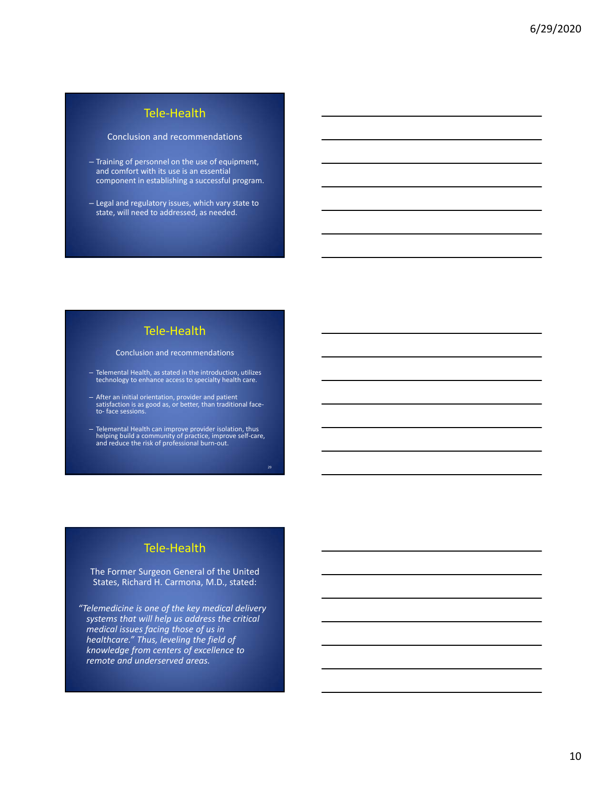## Tele‐Health

#### Conclusion and recommendations

- Training of personnel on the use of equipment, and comfort with its use is an essential component in establishing a successful program.
- Legal and regulatory issues, which vary state to state, will need to addressed, as needed.

#### Tele‐Health

#### Conclusion and recommendations

- Telemental Health, as stated in the introduction, utilizes technology to enhance access to specialty health care.
- After an initial orientation, provider and patient satisfaction is as good as, or better, than traditional face‐ to‐ face sessions.
- Telemental Health can improve provider isolation, thus helping build a community of practice, improve self‐care, and reduce the risk of professional burn‐out.

29

#### Tele‐Health

The Former Surgeon General of the United States, Richard H. Carmona, M.D., stated:

*"Telemedicine is one of the key medical delivery systems that will help us address the critical medical issues facing those of us in healthcare." Thus, leveling the field of knowledge from centers of excellence to remote and underserved areas.*